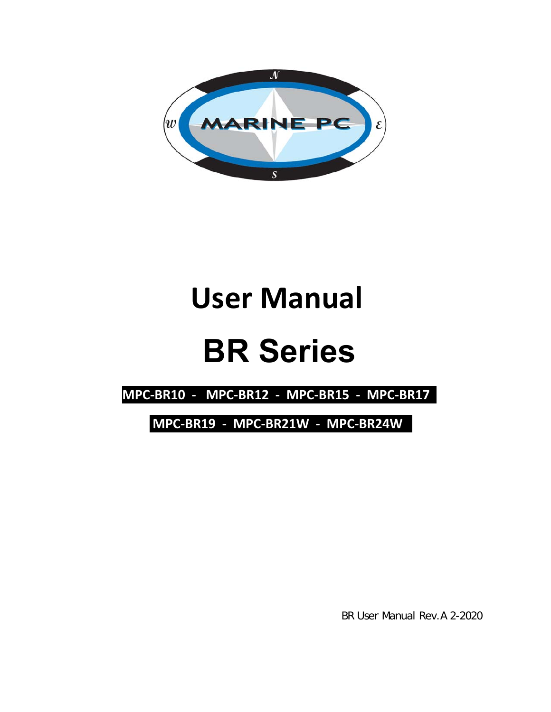

## **User Manual**

# **BR Series**

**MPC‐BR10 ‐ MPC‐BR12 ‐ MPC‐BR15 ‐ MPC‐BR17** 

 **MPC‐BR19 ‐ MPC‐BR21W ‐ MPC‐BR24W** 

BR User Manual Rev.A 2-2020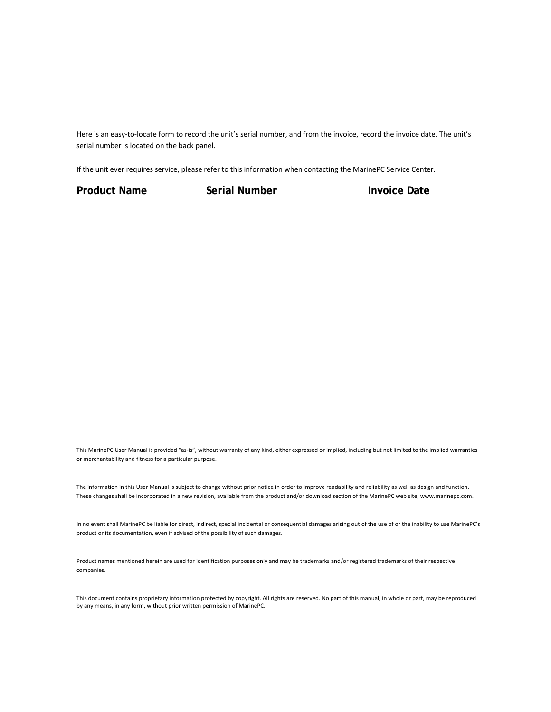Here is an easy-to-locate form to record the unit's serial number, and from the invoice, record the invoice date. The unit's serial number is located on the back panel.

If the unit ever requires service, please refer to this information when contacting the MarinePC Service Center.

**Product Name Serial Number Constrained Invoice Date** 

This MarinePC User Manual is provided "as‐is", without warranty of any kind, either expressed or implied, including but not limited to the implied warranties or merchantability and fitness for a particular purpose.

The information in this User Manual is subject to change without prior notice in order to improve readability and reliability as well as design and function. These changes shall be incorporated in a new revision, available from the product and/or download section of the MarinePC web site, www.marinepc.com.

In no event shall MarinePC be liable for direct, indirect, special incidental or consequential damages arising out of the use of or the inability to use MarinePC's product or its documentation, even if advised of the possibility of such damages.

Product names mentioned herein are used for identification purposes only and may be trademarks and/or registered trademarks of their respective companies.

This document contains proprietary information protected by copyright. All rights are reserved. No part of this manual, in whole or part, may be reproduced by any means, in any form, without prior written permission of MarinePC.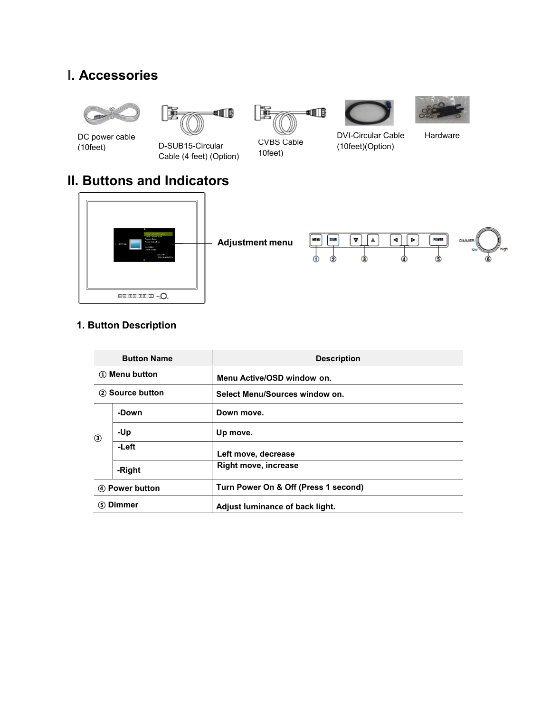### **I. Accessories**











DC power cable

(10feet) D-SUB15-Circular Cable (4 feet) (Option) CVBS Cable 10feet)

DVI-Circular Cable Hardware (10feet)(Option)

## **II. Buttons and Indicators**



#### **1. Button Description**

| <b>Button Name</b> |        | <b>Description</b>                   |  |  |  |
|--------------------|--------|--------------------------------------|--|--|--|
| 1) Menu button     |        | Menu Active/OSD window on.           |  |  |  |
| 2 Source button    |        | Select Menu/Sources window on.       |  |  |  |
| ك                  | -Down  | Down move.                           |  |  |  |
|                    | -Up    | Up move.                             |  |  |  |
|                    | -Left  | Left move, decrease                  |  |  |  |
|                    | -Right | <b>Right move, increase</b>          |  |  |  |
| 4) Power button    |        | Turn Power On & Off (Press 1 second) |  |  |  |
| (5) Dimmer         |        | Adjust luminance of back light.      |  |  |  |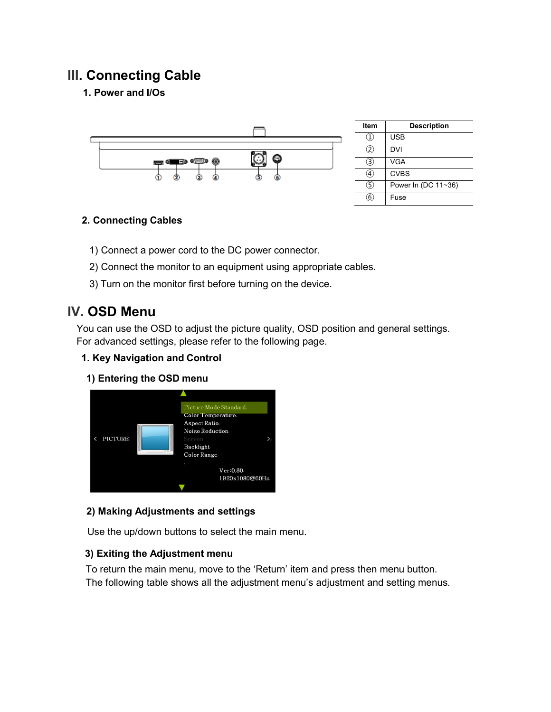## **III. Connecting Cable**

#### **1. Power and I/Os**



#### **2. Connecting Cables**

- 1) Connect a power cord to the DC power connector.
- 2) Connect the monitor to an equipment using appropriate cables.
- 3) Turn on the monitor first before turning on the device.

### **IV. OSD Menu**

You can use the OSD to adjust the picture quality, OSD position and general settings. For advanced settings, please refer to the following page.

#### **1. Key Navigation and Control**

**1) Entering the OSD menu**



#### **2) Making Adjustments and settings**

Use the up/down buttons to select the main menu.

#### **3) Exiting the Adjustment menu**

To return the main menu, move to the 'Return' item and press then menu button. The following table shows all the adjustment menu's adjustment and setting menus.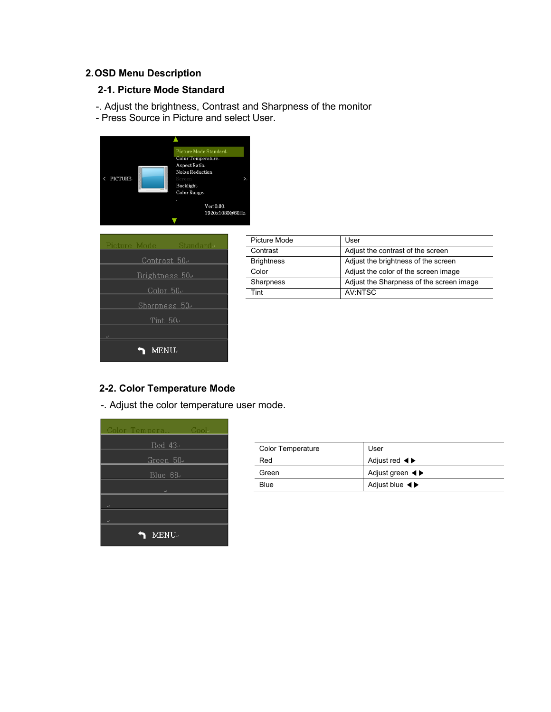#### **2. OSD Menu Description**

#### **2-1. Picture Mode Standard**

- -. Adjust the brightness, Contrast and Sharpness of the monitor
- Press Source in Picture and select User.





| Picture Mode      | User                                     |  |
|-------------------|------------------------------------------|--|
| Contrast          | Adjust the contrast of the screen        |  |
| <b>Brightness</b> | Adjust the brightness of the screen      |  |
| Color             | Adjust the color of the screen image     |  |
| Sharpness         | Adjust the Sharpness of the screen image |  |
| Tint              | AV NTSC                                  |  |

#### **2-2. Color Temperature Mode**

-. Adjust the color temperature user mode.



| <b>Color Temperature</b> | User                                                  |
|--------------------------|-------------------------------------------------------|
| Red                      | Adjust red $\blacktriangleleft \blacktriangleright$   |
| Green                    | Adjust green $\blacktriangleleft \blacktriangleright$ |
| <b>Blue</b>              | Adjust blue $\blacktriangleleft \blacktriangleright$  |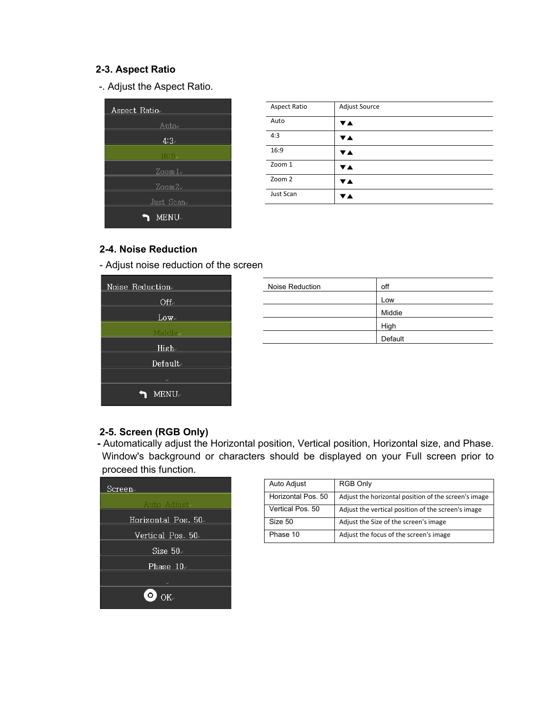#### **2-3. Aspect Ratio**

-. Adjust the Aspect Ratio.



| <b>Aspect Ratio</b> | Adjust Source |
|---------------------|---------------|
| Auto                | ▼▲            |
| 4:3                 | ▼▲            |
| 16:9                | VA.           |
| Zoom 1              | ▼▲            |
| Zoom 2              | ▼▲            |
| Just Scan           | V A           |

#### **2-4. Noise Reduction**

- Adjust noise reduction of the screen

| Noise Reduction     |
|---------------------|
| $\mathrm{Off}_\sim$ |
| $Low \cdot$         |
| Middle⊷             |
| $High-$             |
| Default.            |
| لمه                 |
| <b>MENU</b>         |

| Noise Reduction | off     |
|-----------------|---------|
|                 | Low     |
|                 | Middie  |
|                 | High    |
|                 | Default |

#### **2-5. Screen (RGB Only)**

**-** Automatically adjust the Horizontal position, Vertical position, Horizontal size, and Phase. Window's background or characters should be displayed on your Full screen prior to proceed this function.



| Auto Adjust        | RGB Only                                             |
|--------------------|------------------------------------------------------|
| Horizontal Pos. 50 | Adjust the horizontal position of the screen's image |
| Vertical Pos. 50   | Adjust the vertical position of the screen's image   |
| Size 50            | Adjust the Size of the screen's image                |
| Phase 10           | Adjust the focus of the screen's image               |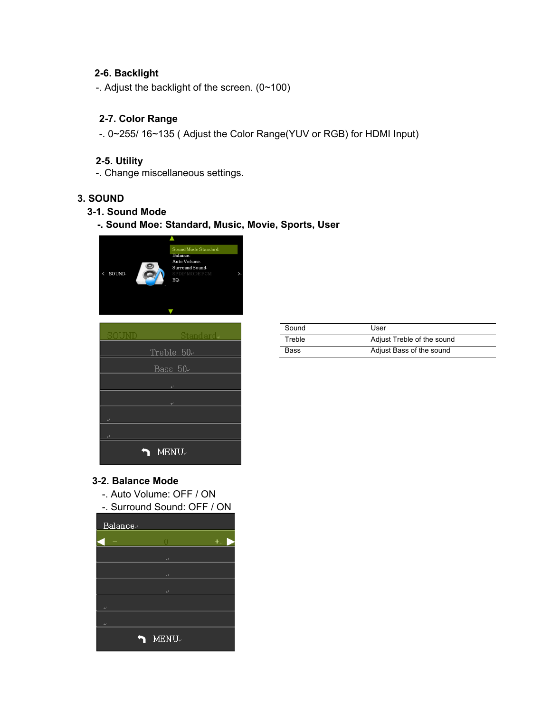#### **2-6. Backlight**

-. Adjust the backlight of the screen. (0~100)

#### **2-7. Color Range**

-. 0~255/ 16~135 ( Adjust the Color Range(YUV or RGB) for HDMI Input)

#### **2-5. Utility**

-. Change miscellaneous settings.

#### **3. SOUND**

#### **3-1. Sound Mode**

**-. Sound Moe: Standard, Music, Movie, Sports, User** 





| Sound       | User                       |
|-------------|----------------------------|
| Treble      | Adjust Treble of the sound |
| <b>Bass</b> | Adjust Bass of the sound   |

#### **3-2. Balance Mode**

- -. Auto Volume: OFF / ON
- -. Surround Sound: OFF / ON

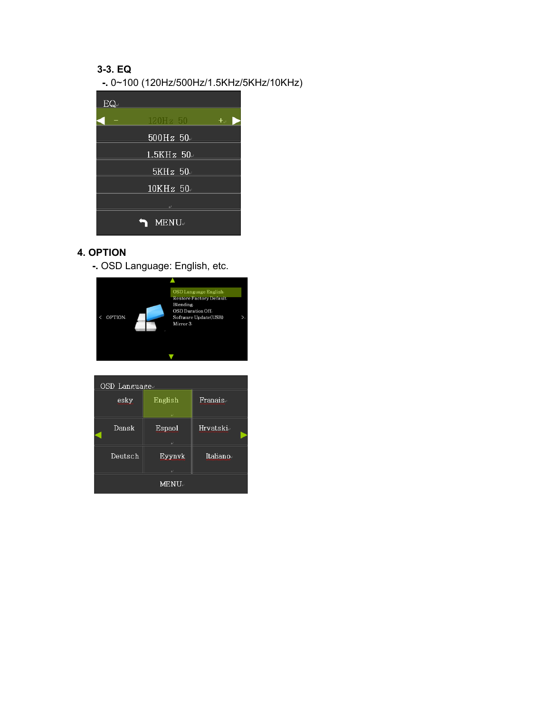#### **3-3. EQ**

**-.** 0~100 (120Hz/500Hz/1.5KHz/5KHz/10KHz)



#### **4. OPTION**

**-.** OSD Language: English, etc.



| OSD Language |         |           |  |  |  |
|--------------|---------|-----------|--|--|--|
| esky         | English | Franais⊬  |  |  |  |
| Dansk        | Espaol  | Hrvatski⊬ |  |  |  |
| Deutsch      | Eyynvk  | Italiano≈ |  |  |  |
| <b>MENU.</b> |         |           |  |  |  |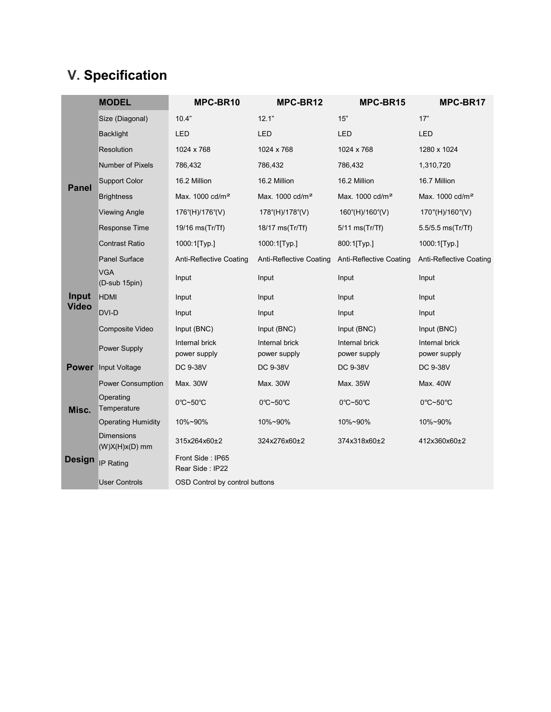## **V. Specification**

|               | <b>MODEL</b>                          | MPC-BR10                            | MPC-BR12                       | MPC-BR15                       | MPC-BR17                       |
|---------------|---------------------------------------|-------------------------------------|--------------------------------|--------------------------------|--------------------------------|
|               | Size (Diagonal)                       | 10.4"                               | 12.1"                          | 15"                            | 17"                            |
|               | <b>Backlight</b>                      | LED                                 | <b>LED</b>                     | LED                            | <b>LED</b>                     |
|               | <b>Resolution</b>                     | 1024 x 768                          | 1024 x 768                     | 1024 x 768                     | 1280 x 1024                    |
|               | Number of Pixels                      | 786,432                             | 786,432                        | 786,432                        | 1,310,720                      |
| <b>Panel</b>  | <b>Support Color</b>                  | 16.2 Million                        | 16.2 Million                   | 16.2 Million                   | 16.7 Million                   |
|               | <b>Brightness</b>                     | Max. 1000 cd/m <sup>2</sup>         | Max. 1000 cd/m <sup>2</sup>    | Max. 1000 cd/m <sup>2</sup>    | Max. 1000 cd/m <sup>2</sup>    |
|               | <b>Viewing Angle</b>                  | 176°(H)/176°(V)                     | 178°(H)/178°(V)                | 160°(H)/160°(V)                | 170°(H)/160°(V)                |
|               | Response Time                         | 19/16 ms(Tr/Tf)                     | 18/17 ms(Tr/Tf)                | $5/11$ ms(Tr/Tf)               | 5.5/5.5 ms(Tr/Tf)              |
|               | <b>Contrast Ratio</b>                 | 1000:1[Typ.]                        | 1000:1[Typ.]                   | 800:1[Typ.]                    | 1000:1[Typ.]                   |
|               | <b>Panel Surface</b>                  | Anti-Reflective Coating             | Anti-Reflective Coating        | <b>Anti-Reflective Coating</b> | Anti-Reflective Coating        |
|               | <b>VGA</b><br>(D-sub 15pin)           | Input                               | Input                          | Input                          | Input                          |
| Input         | <b>HDMI</b>                           | Input                               | Input                          | Input                          | Input                          |
| <b>Video</b>  | DVI-D                                 | Input                               | Input                          | Input                          | Input                          |
|               | Composite Video                       | Input (BNC)                         | Input (BNC)                    | Input (BNC)                    | Input (BNC)                    |
|               | Power Supply                          | Internal brick<br>power supply      | Internal brick<br>power supply | Internal brick<br>power supply | Internal brick<br>power supply |
|               | <b>Power</b> Input Voltage            | DC 9-38V                            | DC 9-38V                       | DC 9-38V                       | DC 9-38V                       |
|               | <b>Power Consumption</b>              | Max. 30W                            | Max. 30W                       | Max. 35W                       | Max. 40W                       |
| Misc.         | Operating<br>Temperature              | 0°C~50°C                            | 0°C~50°C                       | 0°C~50°C                       | 0°C~50°C                       |
|               | <b>Operating Humidity</b>             | 10%~90%                             | 10%~90%                        | 10%~90%                        | 10%~90%                        |
|               | <b>Dimensions</b><br>$(W)X(H)x(D)$ mm | 315x264x60±2                        | 324x276x60±2                   | 374x318x60±2                   | 412x360x60±2                   |
| <b>Design</b> | IP Rating                             | Front Side: IP65<br>Rear Side: IP22 |                                |                                |                                |
|               | <b>User Controls</b>                  | OSD Control by control buttons      |                                |                                |                                |